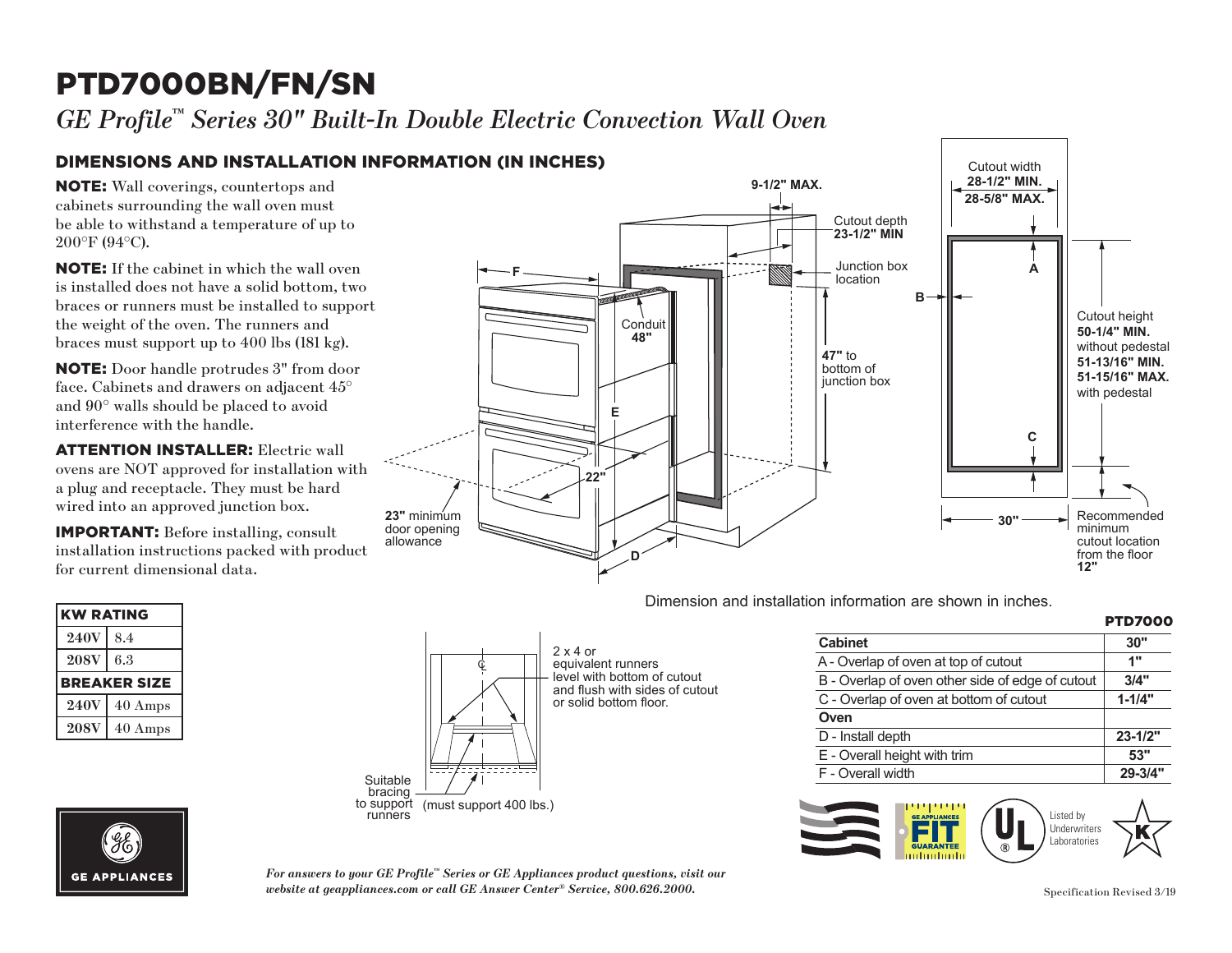# PTD7000BN/FN/SN

*GE Profile™ Series 30" Built-In Double Electric Convection Wall Oven* 

### DIMENSIONS AND INSTALLATION INFORMATION (IN INCHES)

NOTE: Wall coverings, countertops and cabinets surrounding the wall oven must be able to withstand a temperature of up to 200°F (94°C).

is instailed does not nave a solid bottom, two<br>braces or runners must be installed to support NOTE: If the cabinet in which the wall oven is installed does not have a solid bottom, two the weight of the oven. The runners and braces must support up to 400 lbs (181 kg).

**22"** face. Cabinets and drawers on adjacent 45° interference with the handle. NOTE: Door handle protrudes 3" from door and 90° walls should be placed to avoid

**ATTENTION INSTALLER:** Electric wall ovens are NOT approved for installation with a plug and receptacle. They must be hard wired into an approved junction box.

IMPORTANT: Before installing, consult installation instructions packed with product for current dimensional data.

| <b>KW RATING</b> |                     |
|------------------|---------------------|
| <b>240V</b>      | 8.4                 |
| <b>208V</b>      | 6.3                 |
|                  | <b>BREAKER SIZE</b> |
| <b>240V</b>      | $40$ Amps           |
| <b>208V</b>      | 40 Amps             |
|                  |                     |



**JTD3000.**<br> $\overline{a}$ Dimension and installation information are shown in inches.

#### **PTD7000 PTD7000SNSS, PTD700LSNSS, PTD700RSNSS JUSTINGS, JTD5000**



 $2 \times 4$  or z x 4 or<br>equivalent runners<br>cutout equivalent runners<br>level with bottom of cutout and flush with sides of cutout or solid bottom floor.

 $\Delta$  or

| <b>Cabinet</b>                                   | 30"         |
|--------------------------------------------------|-------------|
| A - Overlap of oven at top of cutout             | 1"          |
| B - Overlap of oven other side of edge of cutout | 3/4"        |
| C - Overlap of oven at bottom of cutout          | $1 - 1/4"$  |
| Oven                                             |             |
| D - Install depth                                | $23 - 1/2"$ |
| E - Overall height with trim                     | 53"         |
| F - Overall width                                | 29-3/4"     |





*For answers to your GE Profile™ Series or GE Appliances product questions, visit our website at geappliances.com or call GE Answer Center® Service, 800.626.2000.* Specification Revised 3/19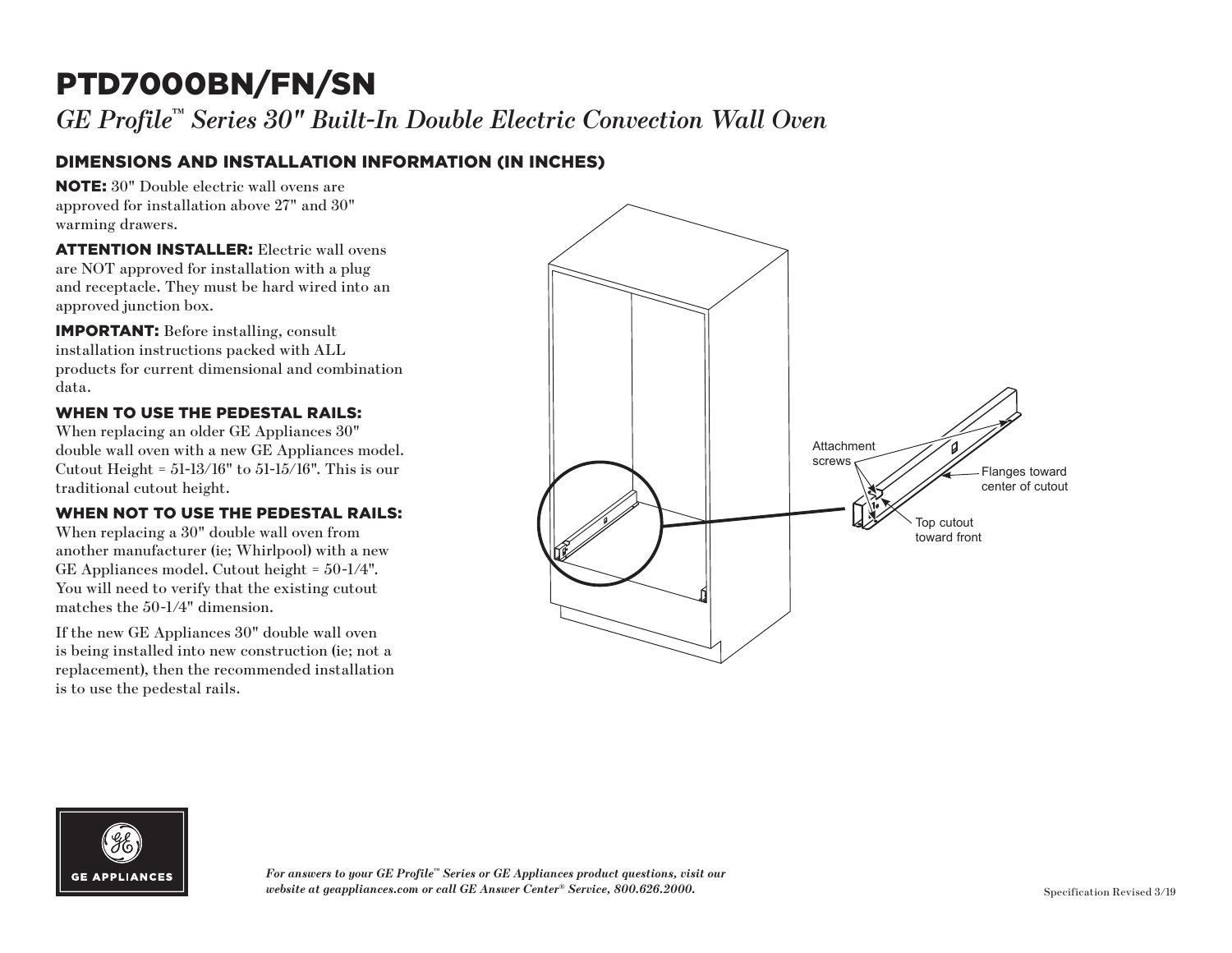## PTD7000BN/FN/SN

*GE Profile™ Series 30" Built-In Double Electric Convection Wall Oven*

### DIMENSIONS AND INSTALLATION INFORMATION (IN INCHES)

NOTE: 30" Double electric wall ovens are approved for installation above 27" and 30" warming drawers.

ATTENTION INSTALLER: Electric wall ovens are NOT approved for installation with a plug and receptacle. They must be hard wired into an approved junction box.

IMPORTANT: Before installing, consult installation instructions packed with ALL products for current dimensional and combination data.

#### WHEN TO USE THE PEDESTAL RAILS:

When replacing an older GE Appliances 30" double wall oven with a new GE Appliances model. Cutout Height =  $51$ -13/16" to  $51$ -15/16". This is our traditional cutout height.

#### WHEN NOT TO USE THE PEDESTAL RAILS:

When replacing a 30" double wall oven from another manufacturer (ie; Whirlpool) with a new GE Appliances model. Cutout height = 50-1/4". You will need to verify that the existing cutout matches the 50-1/4" dimension.

If the new GE Appliances 30" double wall oven is being installed into new construction (ie; not a replacement), then the recommended installation is to use the pedestal rails.